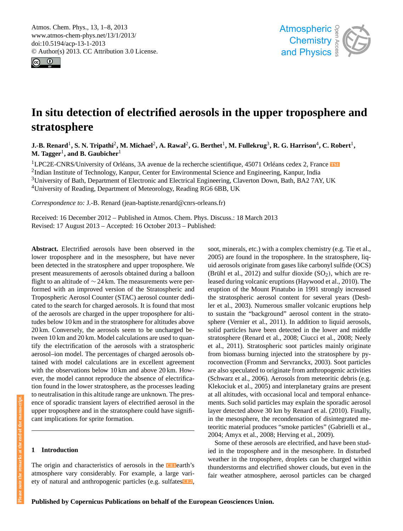<span id="page-0-0"></span>Atmos. Chem. Phys., 13, 1–8, 2013 www.atmos-chem-phys.net/13/1/2013/ doi:10.5194/acp-13-1-2013 © Author(s) 2013. CC Attribution 3.0 License.





# **In situ detection of electrified aerosols in the upper troposphere and stratosphere**

 $\bf J.-B.~Renard^1, S.~N.~Tripathi^2, M.~Michael^2, A.~Rawal^2, G.~Berthet^1, M.~Fullekrug^3, R.~G.~Harrison^4, C.~Robert^1,$  $\mathbf{M}.$  Tagger<sup>1</sup>, and B. Gaubicher $^1$ 

<sup>1</sup>LPC2E-CNRS/University of Orléans, 3A avenue de la recherche scientifique, 45071 Orléans cedex 2, France **[TS1](#page-8-0)** <sup>2</sup>Indian Institute of Technology, Kanpur, Center for Environmental Science and Engineering, Kanpur, India <sup>3</sup>University of Bath, Department of Electronic and Electrical Engineering, Claverton Down, Bath, BA2 7AY, UK <sup>4</sup>University of Reading, Department of Meteorology, Reading RG6 6BB, UK

*Correspondence to:* J.-B. Renard (jean-baptiste.renard@cnrs-orleans.fr)

Received: 16 December 2012 – Published in Atmos. Chem. Phys. Discuss.: 18 March 2013 Revised: 17 August 2013 – Accepted: 16 October 2013 – Published:

**Abstract.** Electrified aerosols have been observed in the lower troposphere and in the mesosphere, but have never been detected in the stratosphere and upper troposphere. We present measurements of aerosols obtained during a balloon flight to an altitude of ∼ 24 km. The measurements were performed with an improved version of the Stratospheric and Tropospheric Aerosol Counter (STAC) aerosol counter dedicated to the search for charged aerosols. It is found that most of the aerosols are charged in the upper troposphere for altitudes below 10 km and in the stratosphere for altitudes above 20 km. Conversely, the aerosols seem to be uncharged between 10 km and 20 km. Model calculations are used to quantify the electrification of the aerosols with a stratospheric aerosol–ion model. The percentages of charged aerosols obtained with model calculations are in excellent agreement with the observations below 10 km and above 20 km. However, the model cannot reproduce the absence of electrification found in the lower stratosphere, as the processes leading to neutralisation in this altitude range are unknown. The presence of sporadic transient layers of electrified aerosol in the upper troposphere and in the stratosphere could have significant implications for sprite formation.

## **1 Introduction**

The origin and characteristics of aerosols in the **[CE1](#page-8-1)** earth's atmosphere vary considerably. For example, a large variety of natural and anthropogenic particles (e.g. sulfates**[CE2](#page-8-2)** ,

<span id="page-0-3"></span>soot, minerals, etc.) with a complex chemistry (e.g. Tie et al., 2005) are found in the troposphere. In the stratosphere, liquid aerosols originate from gases like carbonyl sulfide (OCS) (Brühl et al., 2012) and sulfur dioxide  $(SO<sub>2</sub>)$ , which are released during volcanic eruptions (Haywood et al., 2010). The eruption of the Mount Pinatubo in 1991 strongly increased the stratospheric aerosol content for several years (Deshler et al., 2003). Numerous smaller volcanic eruptions help to sustain the "background" aerosol content in the stratosphere (Vernier et al., 2011). In addition to liquid aerosols, solid particles have been detected in the lower and middle stratosphere (Renard et al., 2008; Ciucci et al., 2008; Neely et al., 2011). Stratospheric soot particles mainly originate from biomass burning injected into the stratosphere by pyroconvection (Fromm and Servranckx, 2003). Soot particles are also speculated to originate from anthropogenic activities (Schwarz et al., 2006). Aerosols from meteoritic debris (e.g. Klekociuk et al., 2005) and interplanetary grains are present at all altitudes, with occasional local and temporal enhancements. Such solid particles may explain the sporadic aerosol layer detected above 30 km by Renard et al. (2010). Finally, in the mesosphere, the recondensation of disintegrated meteoritic material produces "smoke particles" (Gabrielli et al., 2004; Amyx et al., 2008; Herving et al., 2009).

<span id="page-0-2"></span><span id="page-0-1"></span>Some of these aerosols are electrified, and have been studied in the troposphere and in the mesosphere. In disturbed weather in the troposphere, droplets can be charged within thunderstorms and electrified shower clouds, but even in the fair weather atmosphere, aerosol particles can be charged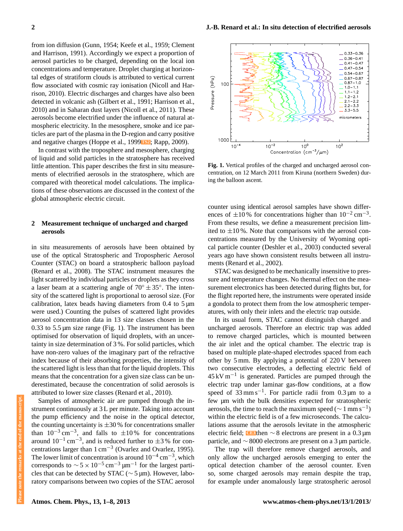from ion diffusion (Gunn, 1954; Keefe et al., 1959; Clement and Harrison, 1991). Accordingly we expect a proportion of aerosol particles to be charged, depending on the local ion concentrations and temperature. Droplet charging at horizontal edges of stratiform clouds is attributed to vertical current flow associated with cosmic ray ionisation (Nicoll and Harrison, 2010). Electric discharges and charges have also been detected in volcanic ash (Gilbert et al., 1991; Harrison et al., 2010) and in Saharan dust layers (Nicoll et al., 2011). These aerosols become electrified under the influence of natural atmospheric electricity. In the mesosphere, smoke and ice particles are part of the plasma in the D-region and carry positive and negative charges (Hoppe et al., 1999**[TS2](#page-8-3)** ; Rapp, 2009).

In contrast with the troposphere and mesosphere, charging of liquid and solid particles in the stratosphere has received little attention. This paper describes the first in situ measurements of electrified aerosols in the stratosphere, which are compared with theoretical model calculations. The implications of these observations are discussed in the context of the global atmospheric electric circuit.

# **2 Measurement technique of uncharged and charged aerosols**

in situ measurements of aerosols have been obtained by use of the optical Stratospheric and Tropospheric Aerosol Counter (STAC) on board a stratospheric balloon payload (Renard et al., 2008). The STAC instrument measures the light scattered by individual particles or droplets as they cross a laser beam at a scattering angle of  $70^\circ \pm 35^\circ$ . The intensity of the scattered light is proportional to aerosol size. (For calibration, latex beads having diameters from  $0.4$  to  $5 \mu m$ were used.) Counting the pulses of scattered light provides aerosol concentration data in 13 size classes chosen in the 0.33 to  $5.5 \mu m$  size range (Fig. 1). The instrument has been optimised for observation of liquid droplets, with an uncertainty in size determination of 3 %. For solid particles, which have non-zero values of the imaginary part of the refractive index because of their absorbing properties, the intensity of the scattered light is less than that for the liquid droplets. This means that the concentration for a given size class can be underestimated, because the concentration of solid aerosols is attributed to lower size classes (Renard et al., 2010).

Samples of atmospheric air are pumped through the instrument continuously at 3 L per minute. Taking into account the pump efficiency and the noise in the optical detector, the counting uncertainty is  $\pm 30$ % for concentrations smaller than  $10^{-3}$  cm<sup>-3</sup>, and falls to  $\pm 10\%$  for concentrations around  $10^{-1}$  cm<sup>-3</sup>, and is reduced further to  $\pm 3$ % for concentrations larger than  $1 \text{ cm}^{-3}$  (Ovarlez and Ovarlez, 1995). The lower limit of concentration is around  $10^{-4}$  cm<sup>-3</sup>, which corresponds to  $\sim 5 \times 10^{-5}$  cm<sup>-3</sup> µm<sup>-1</sup> for the largest particles that can be detected by STAC ( $\sim$  5 µm). However, laboratory comparisons between two copies of the STAC aerosol



<span id="page-1-1"></span>**Fig. 1.** Vertical profiles of the charged and uncharged aerosol concentration, on 12 March 2011 from Kiruna (northern Sweden) during the balloon ascent.

counter using identical aerosol samples have shown differences of  $\pm 10$ % for concentrations higher than  $10^{-2}$  cm<sup>-3</sup>. From these results, we define a measurement precision limited to  $\pm 10$ %. Note that comparisons with the aerosol concentrations measured by the University of Wyoming optical particle counter (Deshler et al., 2003) conducted several years ago have shown consistent results between all instruments (Renard et al., 2002).

STAC was designed to be mechanically insensitive to pressure and temperature changes. No thermal effect on the measurement electronics has been detected during flights but, for the flight reported here, the instruments were operated inside a gondola to protect them from the low atmospheric temperatures, with only their inlets and the electric trap outside.

In its usual form, STAC cannot distinguish charged and uncharged aerosols. Therefore an electric trap was added to remove charged particles, which is mounted between the air inlet and the optical chamber. The electric trap is based on multiple plate-shaped electrodes spaced from each other by 5 mm. By applying a potential of 220 V between two consecutive electrodes, a deflecting electric field of 45 kV m−<sup>1</sup> is generated. Particles are pumped through the electric trap under laminar gas-flow conditions, at a flow speed of  $33$  mm s<sup>-1</sup>. For particle radii from 0.3 µm to a few µm with the bulk densities expected for stratospheric aerosols, the time to reach the maximum speed ( $\sim 1 \text{ mm s}^{-1}$ ) within the electric field is of a few microseconds. The calculations assume that the aerosols levitate in the atmospheric electric field; **[CE3](#page-8-4)** then ∼ 8 electrons are present in a 0.3 µm particle, and ∼ 8000 electrons are present on a 3 µm particle.

<span id="page-1-0"></span>The trap will therefore remove charged aerosols, and only allow the uncharged aerosols emerging to enter the optical detection chamber of the aerosol counter. Even so, some charged aerosols may remain despite the trap, for example under anomalously large stratospheric aerosol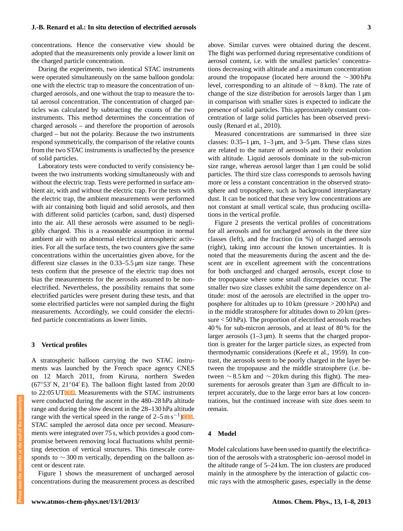## **J.-B. Renard et al.: In situ detection of electrified aerosols 3**

concentrations. Hence the conservative view should be adopted that the measurements only provide a lower limit on the charged particle concentration.

During the experiments, two identical STAC instruments were operated simultaneously on the same balloon gondola: one with the electric trap to measure the concentration of uncharged aerosols, and one without the trap to measure the total aerosol concentration. The concentration of charged particles was calculated by subtracting the counts of the two instruments. This method determines the concentration of charged aerosols – and therefore the proportion of aerosols charged – but not the polarity. Because the two instruments respond symmetrically, the comparison of the relative counts from the two STAC instruments is unaffected by the presence of solid particles.

Laboratory tests were conducted to verify consistency between the two instruments working simultaneously with and without the electric trap. Tests were performed in surface ambient air, with and without the electric trap. For the tests with the electric trap, the ambient measurements were performed with air containing both liquid and solid aerosols, and then with different solid particles (carbon, sand, dust) dispersed into the air. All these aerosols were assumed to be negligibly charged. This is a reasonable assumption in normal ambient air with no abnormal electrical atmospheric activities. For all the surface tests, the two counters give the same concentrations within the uncertainties given above, for the different size classes in the 0.33–5.5 µm size range. These tests confirm that the presence of the electric trap does not bias the measurements for the aerosols assumed to be nonelectrified. Nevertheless, the possibility remains that some electrified particles were present during these tests, and that some electrified particles were not sampled during the flight measurements. Accordingly, we could consider the electrified particle concentrations as lower limits.

## **3 Vertical profiles**

<span id="page-2-0"></span>A stratospheric balloon carrying the two STAC instruments was launched by the French space agency CNES on 12 March 2011, from Kiruna, northern Sweden ( $67°53'$  N,  $21°04'E$ ). The balloon flight lasted from  $20:00$ to 22:05 UT**[CE4](#page-8-5)** . Measurements with the STAC instruments were conducted during the ascent in the 480–28 hPa altitude range and during the slow descent in the 28–130 hPa altitude range with the vertical speed in the range of  $2-5 \text{ m s}^{-1}$ ) STAC sampled the aerosol data once per second. Measurements were integrated over 75 s, which provides a good compromise between removing local fluctuations whilst permitting detection of vertical structures. This timescale corresponds to ∼300 m vertically, depending on the balloon ascent or descent rate.

Figure 1 shows the measurement of uncharged aerosol concentrations during the measurement process as described above. Similar curves were obtained during the descent. The flight was performed during representative conditions of aerosol content, i.e. with the smallest particles' concentrations decreasing with altitude and a maximum concentration around the tropopause (located here around the ∼ 300 hPa level, corresponding to an altitude of ∼ 8 km). The rate of change of the size distribution for aerosols larger than 1  $\mu$ m in comparison with smaller sizes is expected to indicate the presence of solid particles. This approximately constant concentration of large solid particles has been observed previously (Renard et al., 2010).

Measured concentrations are summarised in three size classes:  $0.35-1 \mu m$ ,  $1-3 \mu m$ , and  $3-5 \mu m$ . These class sizes are related to the nature of aerosols and to their evolution with altitude. Liquid aerosols dominate in the sub-micron size range, whereas aerosol larger than 1 µm could be solid particles. The third size class corresponds to aerosols having more or less a constant concentration in the observed stratosphere and troposphere, such as background interplanetary dust. It can be noticed that these very low concentrations are not constant at small vertical scale, thus producing oscillations in the vertical profile.

Figure 2 presents the vertical profiles of concentrations for all aerosols and for uncharged aerosols in the three size classes (left), and the fraction (in %) of charged aerosols (right), taking into account the known uncertainties. It is noted that the measurements during the ascent and the descent are in excellent agreement with the concentrations for both uncharged and charged aerosols, except close to the tropopause where some small discrepancies occur. The smaller two size classes exhibit the same dependence on altitude: most of the aerosols are electrified in the upper troposphere for altitudes up to 10 km (pressure > 200 hPa) and in the middle stratosphere for altitudes down to 20 km (pressure < 50 hPa). The proportion of electrified aerosols reaches 40 % for sub-micron aerosols, and at least of 80 % for the larger aerosols  $(1-3 \mu m)$ . It seems that the charged proportion is greater for the larger particle sizes, as expected from thermodynamic considerations (Keefe et al., 1959). In contrast, the aerosols seem to be poorly charged in the layer between the tropopause and the middle stratosphere (i.e. between  $\sim$  8.5 km and  $\sim$  20 km during this flight). The measurements for aerosols greater than  $3 \mu m$  are difficult to interpret accurately, due to the large error bars at low concentrations, but the continued increase with size does seem to remain.

## <span id="page-2-1"></span>**4 Model**

Model calculations have been used to quantify the electrification of the aerosols with a stratospheric ion–aerosol model in the altitude range of 5–24 km. The ion clusters are produced mainly in the atmosphere by the interaction of galactic cosmic rays with the atmospheric gases, especially in the dense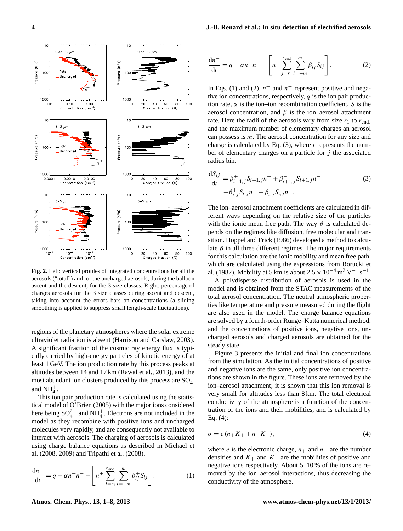

**Fig. 2.** Left: vertical profiles of integrated concentrations for all the aerosols ("total") and for the uncharged aerosols, during the balloon ascent and the descent, for the 3 size classes. Right: percentage of charges aerosols for the 3 size classes during ascent and descent, taking into account the errors bars on concentrations (a sliding smoothing is applied to suppress small length-scale fluctuations).

regions of the planetary atmospheres where the solar extreme ultraviolet radiation is absent (Harrison and Carslaw, 2003). A significant fraction of the cosmic ray energy flux is typically carried by high-energy particles of kinetic energy of at least 1 GeV. The ion production rate by this process peaks at altitudes between 14 and 17 km (Rawal et al., 2013), and the most abundant ion clusters produced by this process are  $SO_4^+$ and  $NH_4^+$ .

This ion pair production rate is calculated using the statistical model of O'Brien (2005) with the major ions considered here being  $SO_4^{2-}$  and  $NH_4^+$ . Electrons are not included in the model as they recombine with positive ions and uncharged molecules very rapidly, and are consequently not available to interact with aerosols. The charging of aerosols is calculated using charge balance equations as described in Michael et al. (2008, 2009) and Tripathi et al. (2008).

$$
\frac{dn^{+}}{dt} = q - \alpha n^{+} n^{-} - \left[ n^{+} \sum_{j=r_1}^{r_{\text{end}}} \sum_{i=-m}^{m} \beta_{ij}^{+} S_{ij} \right].
$$
 (1)

## **4 J.-B. Renard et al.: In situ detection of electrified aerosols**

$$
\frac{dn^{-}}{dt} = q - \alpha n^{+} n^{-} - \left[ n^{-} \sum_{j=r_1}^{r_{\text{end}}} \sum_{i=-m}^{m} \beta_{ij}^{-} S_{ij} \right].
$$
 (2)

In Eqs. (1) and (2),  $n^+$  and  $n^-$  represent positive and negative ion concentrations, respectively,  $q$  is the ion pair production rate,  $\alpha$  is the ion–ion recombination coefficient, S is the aerosol concentration, and  $\beta$  is the ion–aerosol attachment rate. Here the radii of the aerosols vary from size  $r_1$  to  $r_{end}$ , and the maximum number of elementary charges an aerosol can possess is m. The aerosol concentration for any size and charge is calculated by Eq.  $(3)$ , where *i* represents the number of elementary charges on a particle for  $j$  the associated radius bin.

$$
\frac{dS_{ij}}{dt} = \beta_{i-1,j}^{+} S_{i-1,j} n^{+} + \beta_{i+1,j}^{-} S_{i+1,j} n^{-}
$$
  

$$
-\beta_{i,j}^{+} S_{i,j} n^{+} - \beta_{i,j}^{-} S_{i,j} n^{-}.
$$
 (3)

The ion–aerosol attachment coefficients are calculated in different ways depending on the relative size of the particles with the ionic mean free path. The way  $\beta$  is calculated depends on the regimes like diffusion, free molecular and transition. Hoppel and Frick (1986) developed a method to calculate  $β$  in all three different regimes. The major requirements for this calculation are the ionic mobility and mean free path, which are calculated using the expressions from Borucki et al. (1982). Mobility at 5 km is about  $2.5 \times 10^{-4}$  m<sup>2</sup> V<sup>-1</sup> s<sup>-1</sup>.

A polydisperse distribution of aerosols is used in the model and is obtained from the STAC measurements of the total aerosol concentration. The neutral atmospheric properties like temperature and pressure measured during the flight are also used in the model. The charge balance equations are solved by a fourth-order Runge–Kutta numerical method, and the concentrations of positive ions, negative ions, uncharged aerosols and charged aerosols are obtained for the steady state.

Figure 3 presents the initial and final ion concentrations from the simulation. As the initial concentrations of positive and negative ions are the same, only positive ion concentrations are shown in the figure. These ions are removed by the ion–aerosol attachment; it is shown that this ion removal is very small for altitudes less than 8 km. The total electrical conductivity of the atmosphere is a function of the concentration of the ions and their mobilities, and is calculated by Eq. (4):

$$
\sigma = e(n_+K_+ + n_-K_-),\tag{4}
$$

where *e* is the electronic charge,  $n_+$  and  $n_-$  are the number densities and  $K_+$  and  $K_-$  are the mobilities of positive and negative ions respectively. About 5–10 % of the ions are removed by the ion–aerosol interactions, thus decreasing the conductivity of the atmosphere.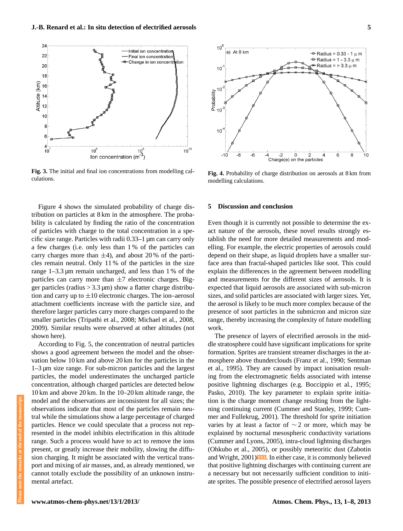

**Fig. 3.** The initial and final ion concentrations from modelling calculations.

Figure 4 shows the simulated probability of charge distribution on particles at 8 km in the atmosphere. The probability is calculated by finding the ratio of the concentration of particles with charge to the total concentration in a specific size range. Particles with radii 0.33–1 µm can carry only a few charges (i.e. only less than 1 % of the particles can carry charges more than  $\pm 4$ ), and about 20 % of the particles remain neutral. Only 11 % of the particles in the size range 1–3.3 µm remain uncharged, and less than 1 % of the particles can carry more than  $\pm 7$  electronic charges. Bigger particles (radius  $> 3.3 \,\mu$ m) show a flatter charge distribution and carry up to  $\pm 10$  electronic charges. The ion–aerosol attachment coefficients increase with the particle size, and therefore larger particles carry more charges compared to the smaller particles (Tripathi et al., 2008; Michael et al., 2008, 2009). Similar results were observed at other altitudes (not shown here).

According to Fig. 5, the concentration of neutral particles shows a good agreement between the model and the observation below 10 km and above 20 km for the particles in the 1–3 µm size range. For sub-micron particles and the largest particles, the model underestimates the uncharged particle concentration, although charged particles are detected below 10 km and above 20 km. In the 10–20 km altitude range, the model and the observations are inconsistent for all sizes; the observations indicate that most of the particles remain neutral while the simulations show a large percentage of charged particles. Hence we could speculate that a process not represented in the model inhibits electrification in this altitude range. Such a process would have to act to remove the ions present, or greatly increase their mobility, slowing the diffusion charging. It might be associated with the vertical transport and mixing of air masses, and, as already mentioned, we cannot totally exclude the possibility of an unknown instrumental artefact.



**Fig. 4.** Probability of charge distribution on aerosols at 8 km from modelling calculations.

#### **5 Discussion and conclusion**

Even though it is currently not possible to determine the exact nature of the aerosols, these novel results strongly establish the need for more detailed measurements and modelling. For example, the electric properties of aerosols could depend on their shape, as liquid droplets have a smaller surface area than fractal-shaped particles like soot. This could explain the differences in the agreement between modelling and measurements for the different sizes of aerosols. It is expected that liquid aerosols are associated with sub-micron sizes, and solid particles are associated with larger sizes. Yet, the aerosol is likely to be much more complex because of the presence of soot particles in the submicron and micron size range, thereby increasing the complexity of future modelling work.

<span id="page-4-0"></span>formation. Sprites are transient streamer discharges in the at-The presence of layers of electrified aerosols in the middle stratosphere could have significant implications for sprite mosphere above thunderclouds (Franz et al., 1990; Sentman et al., 1995). They are caused by impact ionisation resulting from the electromagnetic fields associated with intense positive lightning discharges (e.g. Boccippio et al., 1995; Pasko, 2010). The key parameter to explain sprite initiation is the charge moment change resulting from the lightning continuing current (Cummer and Stanley, 1999; Cummer and Fullekrug, 2001). The threshold for sprite initiation varies by at least a factor of  $\sim$  2 or more, which may be explained by nocturnal mesospheric conductivity variations (Cummer and Lyons, 2005), intra-cloud lightning discharges (Ohkubo et al., 2005), or possibly meteoritic dust (Zabotin and Wright, 2001)**[TS3](#page-8-7)** . In either case, it is commonly believed that positive lightning discharges with continuing current are a necessary but not necessarily sufficient condition to initiate sprites. The possible presence of electrified aerosol layers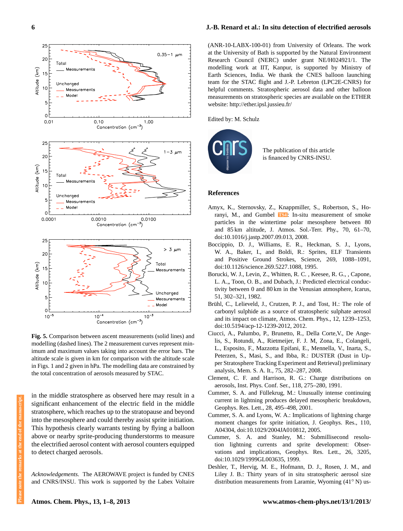

**Fig. 5.** Comparison between ascent measurements (solid lines) and modelling (dashed lines). The 2 measurement curves represent minimum and maximum values taking into account the error bars. The altitude scale is given in km for comparison with the altitude scale in Figs. 1 and 2 given in hPa. The modelling data are constrained by the total concentration of aerosols measured by STAC.

in the middle stratosphere as observed here may result in a significant enhancement of the electric field in the middle stratosphere, which reaches up to the stratopause and beyond into the mesosphere and could thereby assist sprite initiation. This hypothesis clearly warrants testing by flying a balloon above or nearby sprite-producing thunderstorms to measure the electrified aerosol content with aerosol counters equipped to detect charged aerosols.

*Acknowledgements.* The AEROWAVE project is funded by CNES and CNRS/INSU. This work is supported by the Labex Voltaire

## **6 J.-B. Renard et al.: In situ detection of electrified aerosols**

(ANR-10-LABX-100-01) from University of Orleans. The work at the University of Bath is supported by the Natural Environment Research Council (NERC) under grant NE/H024921/1. The modelling work at IIT, Kanpur, is supported by Ministry of Earth Sciences, India. We thank the CNES balloon launching team for the STAC flight and J.-P. Lebreton (LPC2E-CNRS) for helpful comments. Stratospheric aerosol data and other balloon measurements on stratospheric species are available on the ETHER website: <http://ether.ipsl.jussieu.fr/>

Edited by: M. Schulz



<span id="page-5-0"></span>The publication of this article is financed by CNRS-INSU.

#### **References**

- Amyx, K., Sternovsky, Z., Knappmiller, S., Robertson, S., Horanyi, M., and Gumbel **[TS4](#page-8-8)** : In-situ measurement of smoke particles in the wintertime polar mesosphere between 80 and 85 km altitude, J. Atmos. Sol.-Terr. Phy., 70, 61–70, doi[:10.1016/j.jastp.2007.09.013,](http://dx.doi.org/10.1016/j.jastp.2007.09.013) 2008.
- Boccippio, D. J., Williams, E. R., Heckman, S. J., Lyons, W. A., Baker, I., and Boldi, R.: Sprites, ELF Transients and Positive Ground Strokes, Science, 269, 1088–1091, doi[:10.1126/science.269.5227.1088,](http://dx.doi.org/10.1126/science.269.5227.1088) 1995.
- Borucki, W. J., Levin, Z., Whitten, R. C. , Keesee, R. G., , Capone, L. A.,, Toon, O. B., and Dubach, J.: Predicted electrical conductivity between 0 and 80 km in the Venusian atmosphere, Icarus, 51, 302–321, 1982.
- Brühl, C., Lelieveld, J., Crutzen, P. J., and Tost, H.: The role of carbonyl sulphide as a source of stratospheric sulphate aerosol and its impact on climate, Atmos. Chem. Phys., 12, 1239–1253, doi[:10.5194/acp-12-1239-2012,](http://dx.doi.org/10.5194/acp-12-1239-2012) 2012.
- Ciucci, A., Palumbo, P., Brunetto, R., Della Corte,V., De Angelis, S., Rotundi, A., Rietmeijer, F. J. M, Zona, E., Colangeli, L., Esposito, F., Mazzotta Epifani, E., Mennella, V., Inarta, S., Peterzen, S., Masi, S., and Ibba, R.: DUSTER (Dust in Upper Stratosphere Tracking Experiment and Retrieval) preliminary analysis, Mem. S. A. It., 75, 282–287, 2008.
- Clement, C. F. and Harrison, R. G.: Charge distributions on aerosols, Inst. Phys. Conf. Ser., 118, 275–280, 1991.
- Cummer, S. A. and Füllekrug, M.: Unusually intense continuing current in lightning produces delayed mesospheric breakdown, Geophys. Res. Lett., 28, 495–498, 2001.
- Cummer, S. A. and Lyons, W. A.: Implications of lightning charge moment changes for sprite initiation, J. Geophys. Res., 110, A04304, doi[:10.1029/2004JA010812,](http://dx.doi.org/10.1029/2004JA010812) 2005.
- Cummer, S. A. and Stanley, M.: Submillisecond resolution lightning currents and sprite development: Observations and implications, Geophys. Res. Lett., 26, 3205, doi[:10.1029/1999GL003635,](http://dx.doi.org/10.1029/1999GL003635) 1999.
- Deshler, T., Hervig, M. E., Hofmann, D. J., Rosen, J. M., and Liley J. B.: Thirty years of in situ stratospheric aerosol size distribution measurements from Laramie, Wyoming (41◦ N) us-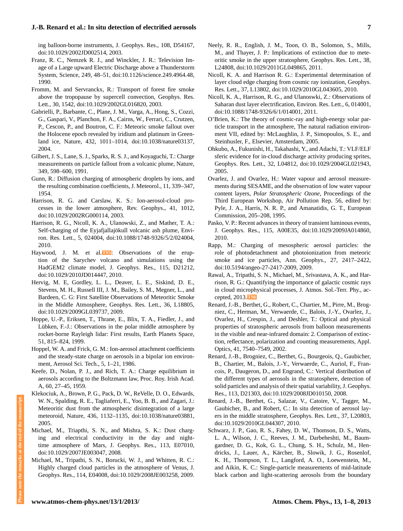## **J.-B. Renard et al.: In situ detection of electrified aerosols 7**

ing balloon-borne instruments, J. Geophys. Res., 108, D54167, doi[:10.1029/2002JD002514,](http://dx.doi.org/10.1029/2002JD002514) 2003.

- Franz, R. C., Nemzek R. J., and Winckler, J. R.: Television Image of a Large upward Electric Discharge above a Thunderstorm System, Science, 249, 48–51, doi[:10.1126/science.249.4964.48,](http://dx.doi.org/10.1126/science.249.4964.48) 1990.
- Fromm, M. and Servranckx, R.: Transport of forest fire smoke above the tropopause by supercell convection, Geophys. Res. Lett., 30, 1542, doi[:10.1029/2002GL016820,](http://dx.doi.org/10.1029/2002GL016820) 2003.
- Gabrielli, P., Barbante, C., Plane, J. M., Varga, A., Hong, S., Cozzi, G., Gaspari, V., Planchon, F. A., Cairns, W., Ferrari, C., Crutzen, P., Cescon, P., and Boutron, C. F.: Meteoric smoke fallout over the Holocene epoch revealed by iridium and platinum in Greenland ice, Nature, 432, 1011–1014, doi[:10.1038/nature03137,](http://dx.doi.org/10.1038/nature03137) 2004.
- Gilbert, J. S., Lane, S. J., Sparks, R. S. J., and Koyaguchi, T.: Charge measurements on particle fallout from a volcanic plume, Nature, 349, 598–600, 1991.
- Gunn, R.: Diffusion charging of atmospheric droplets by ions, and the resulting combination coefficients, J. Meteorol., 11, 339–347, 1954.
- Harrison, R. G. and Carslaw, K. S.: Ion-aerosol-cloud processes in the lower atmosphere, Rev. Geophys., 41, 1012, doi[:10.1029/2002RG000114,](http://dx.doi.org/10.1029/2002RG000114) 2003.
- Harrison, R. G., Nicoll, K. A., Ulanowski, Z., and Mather, T. A.: Self-charging of the Eyjafjallajökull volcanic ash plume, Environ. Res. Lett., 5, 024004, doi[:10.1088/1748-9326/5/2/024004,](http://dx.doi.org/10.1088/1748-9326/5/2/024004) 2010.
- <span id="page-6-0"></span>Haywood, J. M. et al.<sup>TSS</sup>: Observations of the eruption of the Sarychev volcano and simulations using the HadGEM2 climate model, J. Geophys. Res., 115, D21212, doi[:10.1029/2010JD014447,](http://dx.doi.org/10.1029/2010JD014447) 2010.
- Hervig, M. E, Gordley, L. L., Deaver, L. E., Siskind, D. E., Stevens, M. H., Russell III, J. M., Bailey, S. M., Megner, L., and Bardeen, C. G: First Satellite Observations of Meteoritic Smoke in the Middle Atmosphere, Geophys. Res. Lett., 36, L18805, doi[:10.1029/2009GL039737,](http://dx.doi.org/10.1029/2009GL039737) 2009.
- Hoppe, U.-P., Eriksen, T., Thrane, E., Blix, T. A., Fiedler, J., and Lübken, F.-J.: Observations in the polar middle atmosphere by rocket-borne Rayleigh lidar: First results, Earth Planets Space, 51, 815–824, 1999.
- Hoppel, W. A. and Frick, G. M.: Ion-aerosol attachment coefficients and the steady-state charge on aerosols in a bipolar ion environment, Aerosol Sci. Tech., 5, 1–21, 1986.
- Keefe, D., Nolan, P. J., and Rich, T. A.: Charge equilibrium in aerosols according to the Boltzmann law, Proc. Roy. Irish Acad. A, 60, 27–45, 1959.
- Klekociuk, A., Brown, P. G., Pack, D. W., ReVelle, D. O., Edwards, W. N., Spalding, R. E., Tagliaferri, E., Yoo, B. B., and Zagari, J.: Meteoritic dust from the atmospheric disintegration of a large meteoroid, Nature, 436, 1132–1135, doi[:10.1038/nature03881,](http://dx.doi.org/10.1038/nature03881) 2005.
- Michael, M., Triapthi, S. N., and Mishra, S. K.: Dust charging and electrical conductivity in the day and nighttime atmosphere of Mars, J. Geophys. Res., 113, E07010, doi[:10.1029/2007JE003047,](http://dx.doi.org/10.1029/2007JE003047) 2008.
- Michael, M., Tripathi, S. N., Borucki, W. J., and Whitten, R. C.: Highly charged cloud particles in the atmosphere of Venus, J. Geophys. Res., 114, E04008, doi[:10.1029/2008JE003258,](http://dx.doi.org/10.1029/2008JE003258) 2009.
- Neely, R. R., English, J. M., Toon, O. B., Solomon, S., Mills, M., and Thayer, J. P.: Implications of extinction due to meteoritic smoke in the upper stratosphere, Geophys. Res. Lett., 38, L24808, doi[:10.1029/2011GL049865,](http://dx.doi.org/10.1029/2011GL049865) 2011.
- Nicoll, K. A. and Harrison R. G.: Experimental determination of layer cloud edge charging from cosmic ray ionization, Geophys. Res. Lett., 37, L13802, doi[:10.1029/2010GL043605,](http://dx.doi.org/10.1029/2010GL043605) 2010.
- Nicoll, K. A., Harrison, R. G., and Ulanoswki, Z.: Observations of Saharan dust layer electrification, Environ. Res. Lett., 6, 014001, doi[:10.1088/1748-9326/6/1/014001,](http://dx.doi.org/10.1088/1748-9326/6/1/014001) 2011.
- O'Brien, K.: The theory of cosmic-ray and high-energy solar particle transport in the atmosphere, The natural radiation environment VII, edited by: McLaughlin, J. P., Simopoulos, S. E., and Steinhusler, F., Elsevier, Amsterdam, 2005.
- Ohkubo, A., Fukunishi, H., Takahashi, Y., and Adachi, T.: VLF/ELF sferic evidence for in-cloud discharge activity producing sprites, Geophys. Res. Lett., 32, L04812, doi[:10.1029/2004GL021943,](http://dx.doi.org/10.1029/2004GL021943) 2005.
- Ovarlez, J. and Ovarlez, H.: Water vapour and aerosol measurements during SESAME, and the observation of low water vapour content layers, *Polar Stratospheric Ozone*, Proceedings of the Third European Workshop, Air Pollution Rep. 56, edited by: Pyle, J. A., Harris, N. R. P., and Amanatidis, G. T., European Commission, 205–208, 1995.
- Pasko, V. P.: Recent advances in theory of transient luminous events, J. Geophys. Res., 115, A00E35, doi[:10.1029/2009JA014860,](http://dx.doi.org/10.1029/2009JA014860) 2010.
- Rapp, M.: Charging of mesospheric aerosol particles: the role of photodetachment and photoionization from meteoric smoke and ice particles, Ann. Geophys., 27, 2417–2422, doi[:10.5194/angeo-27-2417-2009,](http://dx.doi.org/10.5194/angeo-27-2417-2009) 2009.
- Rawal, A., Tripathi, S. N., Michael, M., Srivastava, A. K., and Harrison, R. G.: Quantifying the importance of galactic cosmic rays in cloud microphysical processes, J. Atmos. Sol.-Terr. Phy., accepted, 2013.**[TS6](#page-8-10)**
- <span id="page-6-1"></span>Renard, J.-B., Berthet, G., Robert, C., Chartier, M., Pirre, M., Brogniez, C., Herman, M., Verwaerde, C., Balois, J.-Y., Ovarlez, J., Ovarlez, H., Crespin, J., and Deshler, T.: Optical and physical properties of stratospheric aerosols from balloon measurements in the visible and near-infrared domain: 2. Comparison of extinction, reflectance, polarization and counting measurements, Appl. Optics, 41, 7540–7549, 2002.
- Renard, J.-B., Brogniez, C., Berthet, G., Bourgeois, Q., Gaubicher, B., Chartier, M., Balois, J.-Y., Verwaerde, C., Auriol, F., Francois, P., Daugeron, D., and Engrand, C.: Vertical distribution of the different types of aerosols in the stratosphere, detection of solid particles and analysis of their spatial variability, J. Geophys. Res., 113, D21303, doi[:10.1029/2008JD010150,](http://dx.doi.org/10.1029/2008JD010150) 2008.
- Renard, J.-B., Berthet, G., Salazar, V., Catoire, V., Tagger, M., Gaubicher, B., and Robert, C.: In situ detection of aerosol layers in the middle stratosphere, Geophys. Res. Lett., 37, L20803, doi[:10.1029/2010GL044307,](http://dx.doi.org/10.1029/2010GL044307) 2010.
- Schwarz, J. P., Gao, R. S., Fahey, D. W., Thomson, D. S., Watts, L. A., Wilson, J. C., Reeves, J. M., Darbeheshti, M., Baumgardner, D. G., Kok, G. L., Chung, S. H., Schulz, M., Hendricks, J., Lauer, A., Kärcher, B., Slowik, J. G., Rosenlof, K. H., Thompson, T. L., Langford, A. O., Loewenstein, M., and Aikin, K. C.: Single-particle measurements of mid-latitude black carbon and light-scattering aerosols from the boundary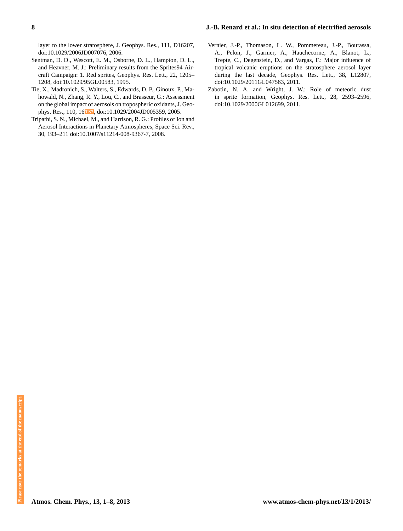### **8 J.-B. Renard et al.: In situ detection of electrified aerosols**

layer to the lower stratosphere, J. Geophys. Res., 111, D16207, doi[:10.1029/2006JD007076,](http://dx.doi.org/10.1029/2006JD007076) 2006.

- Sentman, D. D., Wescott, E. M., Osborne, D. L., Hampton, D. L., and Heavner, M. J.: Preliminary results from the Sprites94 Aircraft Campaign: 1. Red sprites, Geophys. Res. Lett., 22, 1205– 1208, doi[:10.1029/95GL00583,](http://dx.doi.org/10.1029/95GL00583) 1995.
- Tie, X., Madronich, S., Walters, S., Edwards, D. P., Ginoux, P., Mahowald, N., Zhang, R. Y., Lou, C., and Brasseur, G.: Assessment on the global impact of aerosols on tropospheric oxidants, J. Geophys. Res., 110, 16**[TS7](#page-8-11)** , doi[:10.1029/2004JD005359,](http://dx.doi.org/10.1029/2004JD005359) 2005.
- <span id="page-7-0"></span>Tripathi, S. N., Michael, M., and Harrison, R. G.: Profiles of Ion and Aerosol Interactions in Planetary Atmospheres, Space Sci. Rev., 30, 193–211 doi[:10.1007/s11214-008-9367-7,](http://dx.doi.org/10.1007/s11214-008-9367-7) 2008.
- Vernier, J.-P., Thomason, L. W., Pommereau, J.-P., Bourassa, A., Pelon, J., Garnier, A., Hauchecorne, A., Blanot, L., Trepte, C., Degenstein, D., and Vargas, F.: Major influence of tropical volcanic eruptions on the stratosphere aerosol layer during the last decade, Geophys. Res. Lett., 38, L12807, doi[:10.1029/2011GL047563,](http://dx.doi.org/10.1029/2011GL047563) 2011.
- Zabotin, N. A. and Wright, J. W.: Role of meteoric dust in sprite formation, Geophys. Res. Lett., 28, 2593–2596, doi[:10.1029/2000GL012699,](http://dx.doi.org/10.1029/2000GL012699) 2011.